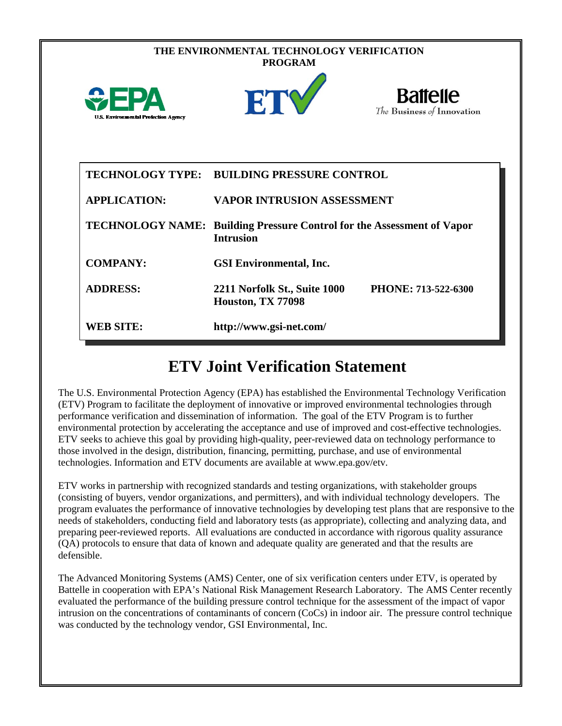| THE ENVIRONMENTAL TECHNOLOGY VERIFICATION<br><b>PROGRAM</b> |                                                                                  |  |  |
|-------------------------------------------------------------|----------------------------------------------------------------------------------|--|--|
| 5 P/A<br><b>U.S. Environmental Protection Agency</b>        | ETY<br><b>Battelle</b><br>The Business of Innovation                             |  |  |
| <b>APPLICATION:</b>                                         | TECHNOLOGY TYPE: BUILDING PRESSURE CONTROL<br><b>VAPOR INTRUSION ASSESSMENT</b>  |  |  |
| <b>TECHNOLOGY NAME:</b>                                     | <b>Building Pressure Control for the Assessment of Vapor</b><br><b>Intrusion</b> |  |  |
| <b>COMPANY:</b>                                             | <b>GSI Environmental, Inc.</b>                                                   |  |  |
| <b>ADDRESS:</b>                                             | PHONE: 713-522-6300<br>2211 Norfolk St., Suite 1000<br>Houston, TX 77098         |  |  |
| <b>WEB SITE:</b>                                            | http://www.gsi-net.com/                                                          |  |  |

# **ETV Joint Verification Statement**

The U.S. Environmental Protection Agency (EPA) has established the Environmental Technology Verification (ETV) Program to facilitate the deployment of innovative or improved environmental technologies through performance verification and dissemination of information. The goal of the ETV Program is to further environmental protection by accelerating the acceptance and use of improved and cost-effective technologies. ETV seeks to achieve this goal by providing high-quality, peer-reviewed data on technology performance to those involved in the design, distribution, financing, permitting, purchase, and use of environmental technologies. Information and ETV documents are available at www.epa.gov/etv.

ETV works in partnership with recognized standards and testing organizations, with stakeholder groups (consisting of buyers, vendor organizations, and permitters), and with individual technology developers. The program evaluates the performance of innovative technologies by developing test plans that are responsive to the needs of stakeholders, conducting field and laboratory tests (as appropriate), collecting and analyzing data, and preparing peer-reviewed reports. All evaluations are conducted in accordance with rigorous quality assurance (QA) protocols to ensure that data of known and adequate quality are generated and that the results are defensible.

The Advanced Monitoring Systems (AMS) Center, one of six verification centers under ETV, is operated by Battelle in cooperation with EPA's National Risk Management Research Laboratory. The AMS Center recently evaluated the performance of the building pressure control technique for the assessment of the impact of vapor intrusion on the concentrations of contaminants of concern (CoCs) in indoor air.The pressure control technique was conducted by the technology vendor, GSI Environmental, Inc.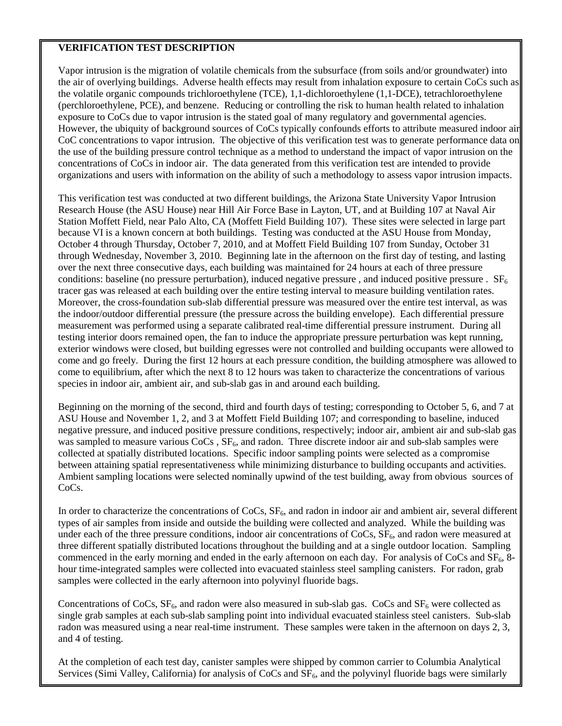## **VERIFICATION TEST DESCRIPTION**

Vapor intrusion is the migration of volatile chemicals from the subsurface (from soils and/or groundwater) into the air of overlying buildings. Adverse health effects may result from inhalation exposure to certain CoCs such as the volatile organic compounds trichloroethylene (TCE), 1,1-dichloroethylene (1,1-DCE), tetrachloroethylene (perchloroethylene, PCE), and benzene. Reducing or controlling the risk to human health related to inhalation exposure to CoCs due to vapor intrusion is the stated goal of many regulatory and governmental agencies. However, the ubiquity of background sources of CoCs typically confounds efforts to attribute measured indoor air CoC concentrations to vapor intrusion. The objective of this verification test was to generate performance data on the use of the building pressure control technique as a method to understand the impact of vapor intrusion on the concentrations of CoCs in indoor air. The data generated from this verification test are intended to provide organizations and users with information on the ability of such a methodology to assess vapor intrusion impacts.

This verification test was conducted at two different buildings, the Arizona State University Vapor Intrusion Research House (the ASU House) near Hill Air Force Base in Layton, UT, and at Building 107 at Naval Air Station Moffett Field, near Palo Alto, CA (Moffett Field Building 107). These sites were selected in large part because VI is a known concern at both buildings. Testing was conducted at the ASU House from Monday, October 4 through Thursday, October 7, 2010, and at Moffett Field Building 107 from Sunday, October 31 through Wednesday, November 3, 2010. Beginning late in the afternoon on the first day of testing, and lasting over the next three consecutive days, each building was maintained for 24 hours at each of three pressure conditions: baseline (no pressure perturbation), induced negative pressure, and induced positive pressure.  $SF<sub>6</sub>$ tracer gas was released at each building over the entire testing interval to measure building ventilation rates. Moreover, the cross-foundation sub-slab differential pressure was measured over the entire test interval, as was the indoor/outdoor differential pressure (the pressure across the building envelope). Each differential pressure measurement was performed using a separate calibrated real-time differential pressure instrument. During all testing interior doors remained open, the fan to induce the appropriate pressure perturbation was kept running, exterior windows were closed, but building egresses were not controlled and building occupants were allowed to come and go freely. During the first 12 hours at each pressure condition, the building atmosphere was allowed to come to equilibrium, after which the next 8 to 12 hours was taken to characterize the concentrations of various species in indoor air, ambient air, and sub-slab gas in and around each building.

Beginning on the morning of the second, third and fourth days of testing; corresponding to October 5, 6, and 7 at ASU House and November 1, 2, and 3 at Moffett Field Building 107; and corresponding to baseline, induced negative pressure, and induced positive pressure conditions, respectively; indoor air, ambient air and sub-slab gas was sampled to measure various  $CoCs$ ,  $SF<sub>6</sub>$ , and radon. Three discrete indoor air and sub-slab samples were collected at spatially distributed locations. Specific indoor sampling points were selected as a compromise between attaining spatial representativeness while minimizing disturbance to building occupants and activities. Ambient sampling locations were selected nominally upwind of the test building, away from obvious sources of CoCs.

In order to characterize the concentrations of CoCs,  $SF_6$ , and radon in indoor air and ambient air, several different types of air samples from inside and outside the building were collected and analyzed. While the building was under each of the three pressure conditions, indoor air concentrations of CoCs,  $SF<sub>6</sub>$ , and radon were measured at three different spatially distributed locations throughout the building and at a single outdoor location. Sampling commenced in the early morning and ended in the early afternoon on each day. For analysis of CoCs and  $SF<sub>6</sub>$ , 8hour time-integrated samples were collected into evacuated stainless steel sampling canisters. For radon, grab samples were collected in the early afternoon into polyvinyl fluoride bags.

Concentrations of CoCs,  $SF_6$ , and radon were also measured in sub-slab gas. CoCs and  $SF_6$  were collected as single grab samples at each sub-slab sampling point into individual evacuated stainless steel canisters. Sub-slab radon was measured using a near real-time instrument. These samples were taken in the afternoon on days 2, 3, and 4 of testing.

At the completion of each test day, canister samples were shipped by common carrier to Columbia Analytical Services (Simi Valley, California) for analysis of CoCs and SF<sub>6</sub>, and the polyvinyl fluoride bags were similarly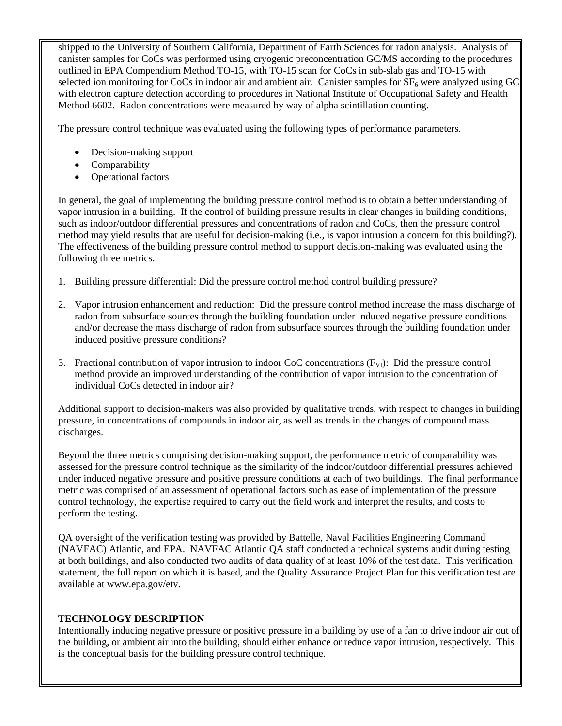shipped to the University of Southern California, Department of Earth Sciences for radon analysis. Analysis of canister samples for CoCs was performed using cryogenic preconcentration GC/MS according to the procedures outlined in EPA Compendium Method TO-15, with TO-15 scan for CoCs in sub-slab gas and TO-15 with selected ion monitoring for CoCs in indoor air and ambient air. Canister samples for  $SF<sub>6</sub>$  were analyzed using GC with electron capture detection according to procedures in National Institute of Occupational Safety and Health Method 6602. Radon concentrations were measured by way of alpha scintillation counting.

The pressure control technique was evaluated using the following types of performance parameters.

- Decision-making support
- Comparability
- Operational factors

In general, the goal of implementing the building pressure control method is to obtain a better understanding of vapor intrusion in a building. If the control of building pressure results in clear changes in building conditions, such as indoor/outdoor differential pressures and concentrations of radon and CoCs, then the pressure control method may yield results that are useful for decision-making (i.e., is vapor intrusion a concern for this building?). The effectiveness of the building pressure control method to support decision-making was evaluated using the following three metrics.

- 1. Building pressure differential: Did the pressure control method control building pressure?
- 2. Vapor intrusion enhancement and reduction: Did the pressure control method increase the mass discharge of radon from subsurface sources through the building foundation under induced negative pressure conditions and/or decrease the mass discharge of radon from subsurface sources through the building foundation under induced positive pressure conditions?
- 3. Fractional contribution of vapor intrusion to indoor CoC concentrations  $(F<sub>VI</sub>)$ : Did the pressure control method provide an improved understanding of the contribution of vapor intrusion to the concentration of individual CoCs detected in indoor air?

Additional support to decision-makers was also provided by qualitative trends, with respect to changes in building pressure, in concentrations of compounds in indoor air, as well as trends in the changes of compound mass discharges.

Beyond the three metrics comprising decision-making support, the performance metric of comparability was assessed for the pressure control technique as the similarity of the indoor/outdoor differential pressures achieved under induced negative pressure and positive pressure conditions at each of two buildings. The final performance metric was comprised of an assessment of operational factors such as ease of implementation of the pressure control technology, the expertise required to carry out the field work and interpret the results, and costs to perform the testing.

QA oversight of the verification testing was provided by Battelle, Naval Facilities Engineering Command (NAVFAC) Atlantic, and EPA. NAVFAC Atlantic QA staff conducted a technical systems audit during testing at both buildings, and also conducted two audits of data quality of at least 10% of the test data. This verification statement, the full report on which it is based, and the Quality Assurance Project Plan for this verification test are available at [www.epa.gov/etv.](http://www.epa.gov/etv)

# **TECHNOLOGY DESCRIPTION**

Intentionally inducing negative pressure or positive pressure in a building by use of a fan to drive indoor air out of the building, or ambient air into the building, should either enhance or reduce vapor intrusion, respectively. This is the conceptual basis for the building pressure control technique.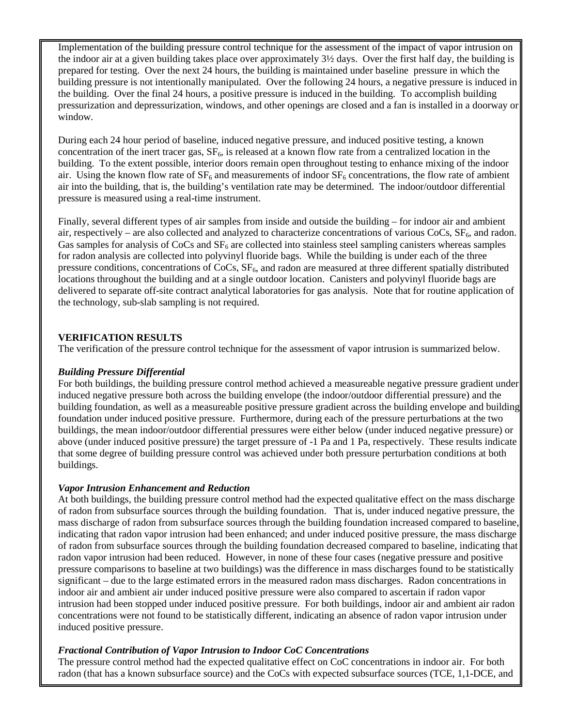Implementation of the building pressure control technique for the assessment of the impact of vapor intrusion on the indoor air at a given building takes place over approximately 3½ days. Over the first half day, the building is prepared for testing. Over the next 24 hours, the building is maintained under baseline pressure in which the building pressure is not intentionally manipulated. Over the following 24 hours, a negative pressure is induced in the building. Over the final 24 hours, a positive pressure is induced in the building. To accomplish building pressurization and depressurization, windows, and other openings are closed and a fan is installed in a doorway or window.

During each 24 hour period of baseline, induced negative pressure, and induced positive testing, a known concentration of the inert tracer gas,  $SF<sub>6</sub>$ , is released at a known flow rate from a centralized location in the building. To the extent possible, interior doors remain open throughout testing to enhance mixing of the indoor air. Using the known flow rate of  $SF_6$  and measurements of indoor  $SF_6$  concentrations, the flow rate of ambient air into the building, that is, the building's ventilation rate may be determined. The indoor/outdoor differential pressure is measured using a real-time instrument.

Finally, several different types of air samples from inside and outside the building – for indoor air and ambient air, respectively – are also collected and analyzed to characterize concentrations of various CoCs,  $SF<sub>6</sub>$ , and radon. Gas samples for analysis of CoCs and  $SF<sub>6</sub>$  are collected into stainless steel sampling canisters whereas samples for radon analysis are collected into polyvinyl fluoride bags. While the building is under each of the three pressure conditions, concentrations of CoCs,  $SF<sub>6</sub>$ , and radon are measured at three different spatially distributed locations throughout the building and at a single outdoor location. Canisters and polyvinyl fluoride bags are delivered to separate off-site contract analytical laboratories for gas analysis. Note that for routine application of the technology, sub-slab sampling is not required.

## **VERIFICATION RESULTS**

The verification of the pressure control technique for the assessment of vapor intrusion is summarized below.

#### *Building Pressure Differential*

For both buildings, the building pressure control method achieved a measureable negative pressure gradient under induced negative pressure both across the building envelope (the indoor/outdoor differential pressure) and the building foundation, as well as a measureable positive pressure gradient across the building envelope and building foundation under induced positive pressure. Furthermore, during each of the pressure perturbations at the two buildings, the mean indoor/outdoor differential pressures were either below (under induced negative pressure) or above (under induced positive pressure) the target pressure of -1 Pa and 1 Pa, respectively. These results indicate that some degree of building pressure control was achieved under both pressure perturbation conditions at both buildings.

#### *Vapor Intrusion Enhancement and Reduction*

At both buildings, the building pressure control method had the expected qualitative effect on the mass discharge of radon from subsurface sources through the building foundation. That is, under induced negative pressure, the mass discharge of radon from subsurface sources through the building foundation increased compared to baseline, indicating that radon vapor intrusion had been enhanced; and under induced positive pressure, the mass discharge of radon from subsurface sources through the building foundation decreased compared to baseline, indicating that radon vapor intrusion had been reduced. However, in none of these four cases (negative pressure and positive pressure comparisons to baseline at two buildings) was the difference in mass discharges found to be statistically significant – due to the large estimated errors in the measured radon mass discharges. Radon concentrations in indoor air and ambient air under induced positive pressure were also compared to ascertain if radon vapor intrusion had been stopped under induced positive pressure. For both buildings, indoor air and ambient air radon concentrations were not found to be statistically different, indicating an absence of radon vapor intrusion under induced positive pressure.

# *Fractional Contribution of Vapor Intrusion to Indoor CoC Concentrations*

The pressure control method had the expected qualitative effect on CoC concentrations in indoor air. For both radon (that has a known subsurface source) and the CoCs with expected subsurface sources (TCE, 1,1-DCE, and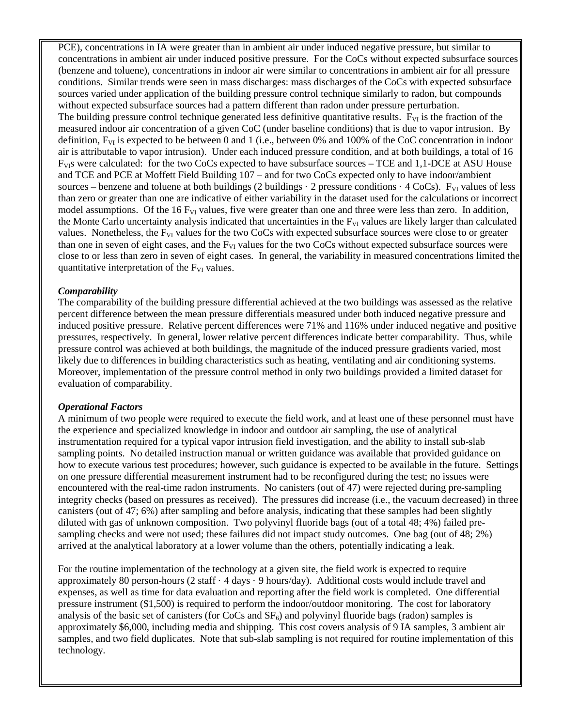PCE), concentrations in IA were greater than in ambient air under induced negative pressure, but similar to concentrations in ambient air under induced positive pressure. For the CoCs without expected subsurface sources (benzene and toluene), concentrations in indoor air were similar to concentrations in ambient air for all pressure conditions. Similar trends were seen in mass discharges: mass discharges of the CoCs with expected subsurface sources varied under application of the building pressure control technique similarly to radon, but compounds without expected subsurface sources had a pattern different than radon under pressure perturbation. The building pressure control technique generated less definitive quantitative results.  $F_{VI}$  is the fraction of the measured indoor air concentration of a given CoC (under baseline conditions) that is due to vapor intrusion. By definition,  $F_{VI}$  is expected to be between 0 and 1 (i.e., between 0% and 100% of the CoC concentration in indoor air is attributable to vapor intrusion). Under each induced pressure condition, and at both buildings, a total of 16  $F_{VIS}$  were calculated: for the two CoCs expected to have subsurface sources – TCE and 1,1-DCE at ASU House and TCE and PCE at Moffett Field Building 107 – and for two CoCs expected only to have indoor/ambient sources – benzene and toluene at both buildings (2 buildings  $\cdot$  2 pressure conditions  $\cdot$  4 CoCs). F<sub>VI</sub> values of less than zero or greater than one are indicative of either variability in the dataset used for the calculations or incorrect model assumptions. Of the 16  $F_{VI}$  values, five were greater than one and three were less than zero. In addition, the Monte Carlo uncertainty analysis indicated that uncertainties in the  $F_{VI}$  values are likely larger than calculated values. Nonetheless, the F<sub>VI</sub> values for the two CoCs with expected subsurface sources were close to or greater than one in seven of eight cases, and the  $F_{VI}$  values for the two CoCs without expected subsurface sources were close to or less than zero in seven of eight cases. In general, the variability in measured concentrations limited the quantitative interpretation of the  $F_{VI}$  values.

#### *Comparability*

The comparability of the building pressure differential achieved at the two buildings was assessed as the relative percent difference between the mean pressure differentials measured under both induced negative pressure and induced positive pressure. Relative percent differences were 71% and 116% under induced negative and positive pressures, respectively. In general, lower relative percent differences indicate better comparability. Thus, while pressure control was achieved at both buildings, the magnitude of the induced pressure gradients varied, most likely due to differences in building characteristics such as heating, ventilating and air conditioning systems. Moreover, implementation of the pressure control method in only two buildings provided a limited dataset for evaluation of comparability.

#### *Operational Factors*

A minimum of two people were required to execute the field work, and at least one of these personnel must have the experience and specialized knowledge in indoor and outdoor air sampling, the use of analytical instrumentation required for a typical vapor intrusion field investigation, and the ability to install sub-slab sampling points. No detailed instruction manual or written guidance was available that provided guidance on how to execute various test procedures; however, such guidance is expected to be available in the future. Settings on one pressure differential measurement instrument had to be reconfigured during the test; no issues were encountered with the real-time radon instruments. No canisters (out of 47) were rejected during pre-sampling integrity checks (based on pressures as received). The pressures did increase (i.e., the vacuum decreased) in three canisters (out of 47; 6%) after sampling and before analysis, indicating that these samples had been slightly diluted with gas of unknown composition. Two polyvinyl fluoride bags (out of a total 48; 4%) failed presampling checks and were not used; these failures did not impact study outcomes. One bag (out of 48; 2%) arrived at the analytical laboratory at a lower volume than the others, potentially indicating a leak.

For the routine implementation of the technology at a given site, the field work is expected to require approximately 80 person-hours  $(2 \text{ staff} \cdot 4 \text{ days} \cdot 9 \text{ hours/day})$ . Additional costs would include travel and expenses, as well as time for data evaluation and reporting after the field work is completed. One differential pressure instrument (\$1,500) is required to perform the indoor/outdoor monitoring. The cost for laboratory analysis of the basic set of canisters (for CoCs and  $SF<sub>6</sub>$ ) and polyvinyl fluoride bags (radon) samples is approximately \$6,000, including media and shipping. This cost covers analysis of 9 IA samples, 3 ambient air samples, and two field duplicates. Note that sub-slab sampling is not required for routine implementation of this technology.